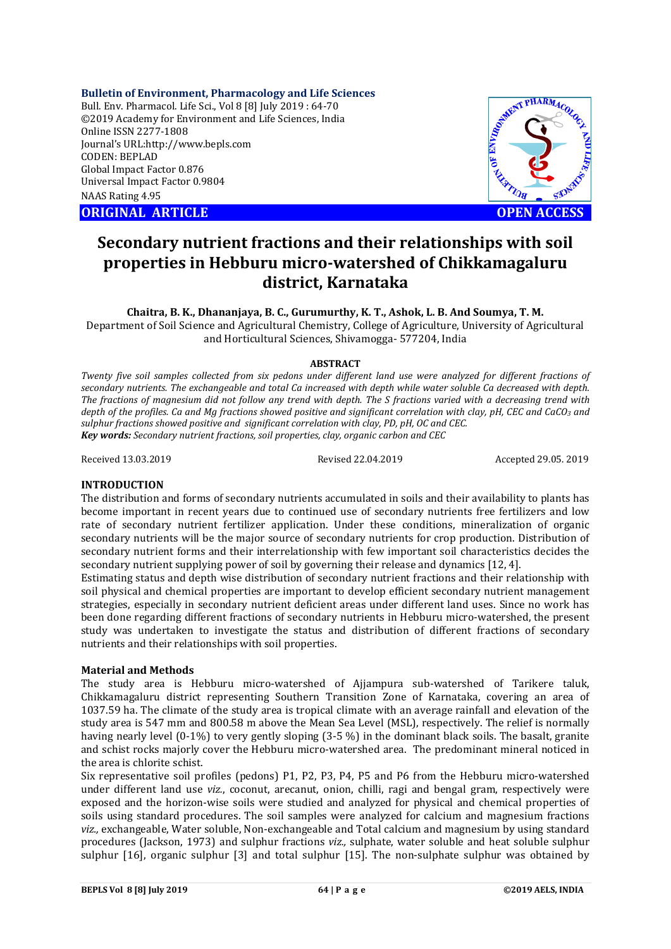**Bulletin of Environment, Pharmacology and Life Sciences**

Bull. Env. Pharmacol. Life Sci., Vol 8 [8] July 2019 : 64-70 ©2019 Academy for Environment and Life Sciences, India Online ISSN 2277-1808 Journal's URL:http://www.bepls.com CODEN: BEPLAD Global Impact Factor 0.876 Universal Impact Factor 0.9804 NAAS Rating 4.95

**CORIGINAL ARTICLE CONSUMING ARTICLE CONSUMING A REPORT OF A LIGHT AND ACCESS** 



# **Secondary nutrient fractions and their relationships with soil properties in Hebburu micro-watershed of Chikkamagaluru district, Karnataka**

**Chaitra, B. K., Dhananjaya, B. C., Gurumurthy, K. T., Ashok, L. B. And Soumya, T. M.** Department of Soil Science and Agricultural Chemistry, College of Agriculture, University of Agricultural and Horticultural Sciences, Shivamogga- 577204, India

## **ABSTRACT**

*Twenty five soil samples collected from six pedons under different land use were analyzed for different fractions of secondary nutrients. The exchangeable and total Ca increased with depth while water soluble Ca decreased with depth. The fractions of magnesium did not follow any trend with depth. The S fractions varied with a decreasing trend with depth of the profiles. Ca and Mg fractions showed positive and significant correlation with clay, pH, CEC and CaCO3 and sulphur fractions showed positive and significant correlation with clay, PD, pH, OC and CEC. Key words: Secondary nutrient fractions, soil properties, clay, organic carbon and CEC*

Received 13.03.2019 Revised 22.04.2019 Accepted 29.05. 2019

#### **INTRODUCTION**

The distribution and forms of secondary nutrients accumulated in soils and their availability to plants has become important in recent years due to continued use of secondary nutrients free fertilizers and low rate of secondary nutrient fertilizer application. Under these conditions, mineralization of organic secondary nutrients will be the major source of secondary nutrients for crop production. Distribution of secondary nutrient forms and their interrelationship with few important soil characteristics decides the secondary nutrient supplying power of soil by governing their release and dynamics [12, 4].

Estimating status and depth wise distribution of secondary nutrient fractions and their relationship with soil physical and chemical properties are important to develop efficient secondary nutrient management strategies, especially in secondary nutrient deficient areas under different land uses. Since no work has been done regarding different fractions of secondary nutrients in Hebburu micro-watershed, the present study was undertaken to investigate the status and distribution of different fractions of secondary nutrients and their relationships with soil properties.

#### **Material and Methods**

The study area is Hebburu micro-watershed of Ajjampura sub-watershed of Tarikere taluk, Chikkamagaluru district representing Southern Transition Zone of Karnataka, covering an area of 1037.59 ha. The climate of the study area is tropical climate with an average rainfall and elevation of the study area is 547 mm and 800.58 m above the Mean Sea Level (MSL), respectively. The relief is normally having nearly level (0-1%) to very gently sloping (3-5 %) in the dominant black soils. The basalt, granite and schist rocks majorly cover the Hebburu micro-watershed area. The predominant mineral noticed in the area is chlorite schist.

Six representative soil profiles (pedons) P1, P2, P3, P4, P5 and P6 from the Hebburu micro-watershed under different land use *viz.*, coconut, arecanut, onion, chilli, ragi and bengal gram, respectively were exposed and the horizon-wise soils were studied and analyzed for physical and chemical properties of soils using standard procedures. The soil samples were analyzed for calcium and magnesium fractions *viz.,* exchangeable, Water soluble, Non-exchangeable and Total calcium and magnesium by using standard procedures (Jackson, 1973) and sulphur fractions *viz.,* sulphate, water soluble and heat soluble sulphur sulphur [16], organic sulphur [3] and total sulphur [15]. The non-sulphate sulphur was obtained by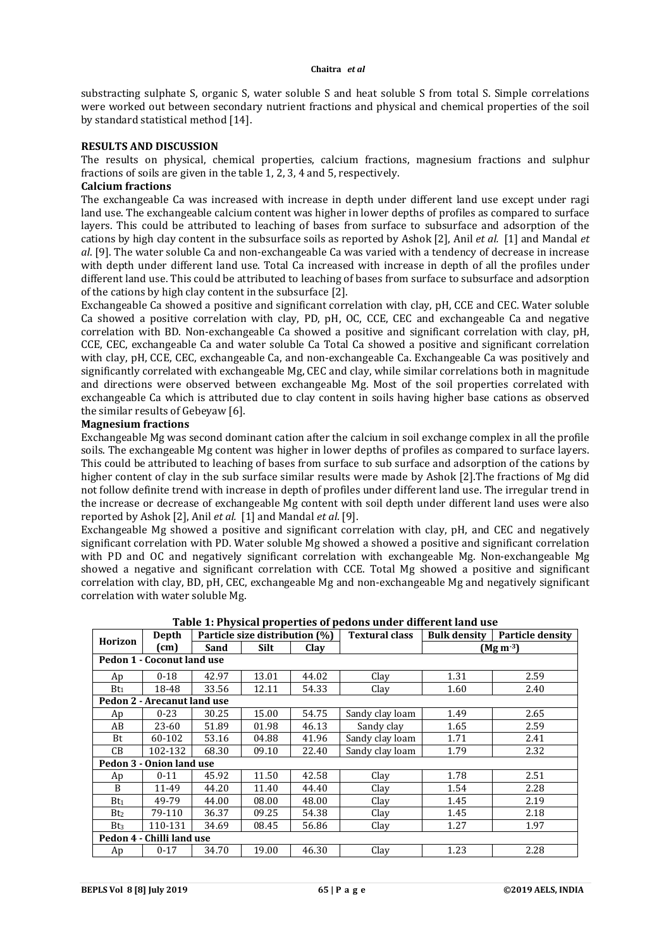substracting sulphate S, organic S, water soluble S and heat soluble S from total S. Simple correlations were worked out between secondary nutrient fractions and physical and chemical properties of the soil by standard statistical method [14].

#### **RESULTS AND DISCUSSION**

The results on physical, chemical properties, calcium fractions, magnesium fractions and sulphur fractions of soils are given in the table 1, 2, 3, 4 and 5, respectively.

#### **Calcium fractions**

The exchangeable Ca was increased with increase in depth under different land use except under ragi land use. The exchangeable calcium content was higher in lower depths of profiles as compared to surface layers. This could be attributed to leaching of bases from surface to subsurface and adsorption of the cations by high clay content in the subsurface soils as reported by Ashok [2], Anil *et al.* [1] and Mandal *et al*. [9]. The water soluble Ca and non-exchangeable Ca was varied with a tendency of decrease in increase with depth under different land use. Total Ca increased with increase in depth of all the profiles under different land use. This could be attributed to leaching of bases from surface to subsurface and adsorption of the cations by high clay content in the subsurface [2].

Exchangeable Ca showed a positive and significant correlation with clay, pH, CCE and CEC. Water soluble Ca showed a positive correlation with clay, PD, pH, OC, CCE, CEC and exchangeable Ca and negative correlation with BD. Non-exchangeable Ca showed a positive and significant correlation with clay, pH, CCE, CEC, exchangeable Ca and water soluble Ca Total Ca showed a positive and significant correlation with clay, pH, CCE, CEC, exchangeable Ca, and non-exchangeable Ca. Exchangeable Ca was positively and significantly correlated with exchangeable Mg, CEC and clay, while similar correlations both in magnitude and directions were observed between exchangeable Mg. Most of the soil properties correlated with exchangeable Ca which is attributed due to clay content in soils having higher base cations as observed the similar results of Gebeyaw [6].

#### **Magnesium fractions**

Exchangeable Mg was second dominant cation after the calcium in soil exchange complex in all the profile soils. The exchangeable Mg content was higher in lower depths of profiles as compared to surface layers. This could be attributed to leaching of bases from surface to sub surface and adsorption of the cations by higher content of clay in the sub surface similar results were made by Ashok [2].The fractions of Mg did not follow definite trend with increase in depth of profiles under different land use. The irregular trend in the increase or decrease of exchangeable Mg content with soil depth under different land uses were also reported by Ashok [2], Anil *et al.* [1] and Mandal *et al*. [9].

Exchangeable Mg showed a positive and significant correlation with clay, pH, and CEC and negatively significant correlation with PD. Water soluble Mg showed a showed a positive and significant correlation with PD and OC and negatively significant correlation with exchangeable Mg. Non-exchangeable Mg showed a negative and significant correlation with CCE. Total Mg showed a positive and significant correlation with clay, BD, pH, CEC, exchangeable Mg and non-exchangeable Mg and negatively significant correlation with water soluble Mg.

| Depth<br>Horizon |                             |       | Particle size distribution (%) |       | <b>Textural class</b>   | <b>Particle density</b><br><b>Bulk density</b> |                       |  |  |  |  |
|------------------|-----------------------------|-------|--------------------------------|-------|-------------------------|------------------------------------------------|-----------------------|--|--|--|--|
|                  | (cm)                        | Sand  | Silt                           | Clay  |                         |                                                | (Mg m <sup>-3</sup> ) |  |  |  |  |
|                  | Pedon 1 - Coconut land use  |       |                                |       |                         |                                                |                       |  |  |  |  |
| Ap               | $0 - 18$                    | 42.97 | 13.01                          | 44.02 | Clay                    | 1.31                                           | 2.59                  |  |  |  |  |
| Bt <sub>1</sub>  | 18-48                       | 33.56 | 12.11                          | 54.33 | Clay                    | 1.60                                           | 2.40                  |  |  |  |  |
|                  | Pedon 2 - Arecanut land use |       |                                |       |                         |                                                |                       |  |  |  |  |
| Ap               | $0 - 23$                    | 30.25 | 15.00                          | 54.75 | Sandy clay loam         | 1.49                                           | 2.65                  |  |  |  |  |
| AB               | 23-60                       | 51.89 | 01.98                          | 46.13 | Sandy clay              | 1.65                                           | 2.59                  |  |  |  |  |
| Bt               | 60-102                      | 53.16 | 04.88                          | 41.96 | Sandy clay loam         | 1.71                                           | 2.41                  |  |  |  |  |
| CВ               | 102-132                     | 68.30 | 09.10                          | 22.40 | Sandy clay loam<br>1.79 |                                                | 2.32                  |  |  |  |  |
|                  | Pedon 3 - Onion land use    |       |                                |       |                         |                                                |                       |  |  |  |  |
| Ap               | $0 - 11$                    | 45.92 | 11.50                          | 42.58 | Clay                    | 1.78                                           | 2.51                  |  |  |  |  |
| B                | 11-49                       | 44.20 | 11.40                          | 44.40 | Clay                    | 1.54                                           | 2.28                  |  |  |  |  |
| Bt <sub>1</sub>  | 49-79                       | 44.00 | 08.00                          | 48.00 | Clay                    | 1.45                                           | 2.19                  |  |  |  |  |
| Bt <sub>2</sub>  | 79-110                      | 36.37 | 09.25                          | 54.38 | Clay                    | 1.45                                           | 2.18                  |  |  |  |  |
| Bt <sub>3</sub>  | 110-131                     | 34.69 | 08.45                          | 56.86 | Clay                    | 1.27                                           | 1.97                  |  |  |  |  |
|                  | Pedon 4 - Chilli land use   |       |                                |       |                         |                                                |                       |  |  |  |  |
| Ap               | $0 - 17$                    | 34.70 | 19.00                          | 46.30 | Clay                    | 1.23                                           | 2.28                  |  |  |  |  |

**Table 1: Physical properties of pedons under different land use**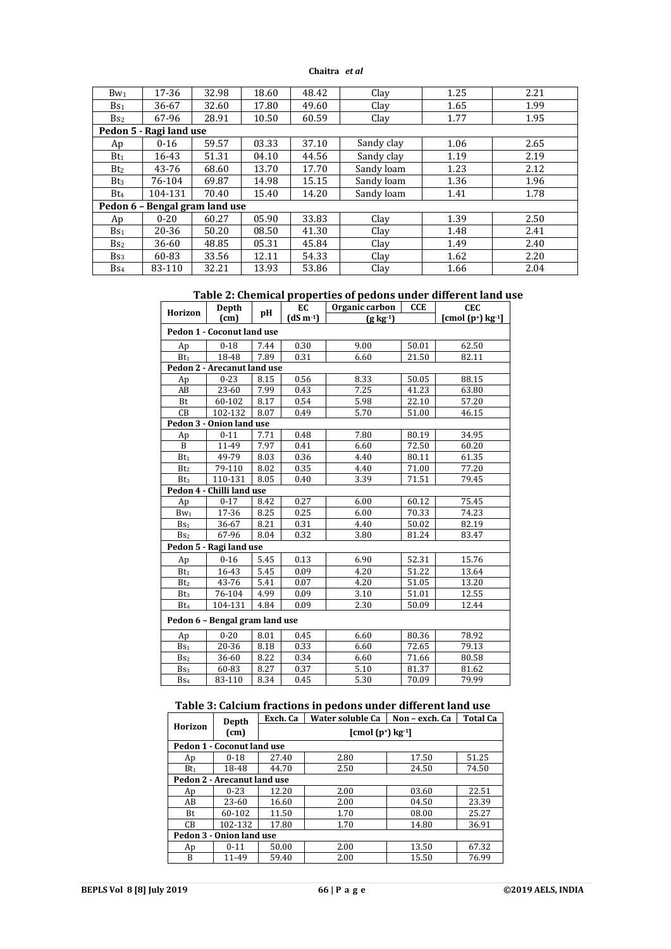| $Bw_1$          | 17-36                          | 32.98 | 18.60 | 48.42 | Clay       | 1.25 | 2.21 |  |  |  |  |  |
|-----------------|--------------------------------|-------|-------|-------|------------|------|------|--|--|--|--|--|
| Bs <sub>1</sub> | 36-67                          | 32.60 | 17.80 | 49.60 | Clay       | 1.65 | 1.99 |  |  |  |  |  |
| Bs <sub>2</sub> | 67-96                          | 28.91 | 10.50 | 60.59 | Clay       | 1.77 | 1.95 |  |  |  |  |  |
|                 | Pedon 5 - Ragi land use        |       |       |       |            |      |      |  |  |  |  |  |
| Ap              | $0 - 16$                       | 59.57 | 03.33 | 37.10 | Sandy clay | 1.06 | 2.65 |  |  |  |  |  |
| $Bt_1$          | 16-43                          | 51.31 | 04.10 | 44.56 | Sandy clay | 1.19 | 2.19 |  |  |  |  |  |
| Bt <sub>2</sub> | 43-76                          | 68.60 | 13.70 | 17.70 | Sandy loam | 1.23 | 2.12 |  |  |  |  |  |
| Bt <sub>3</sub> | 76-104                         | 69.87 | 14.98 | 15.15 | Sandy loam | 1.36 | 1.96 |  |  |  |  |  |
| Bt <sub>4</sub> | 104-131                        | 70.40 | 15.40 | 14.20 | Sandy loam | 1.41 | 1.78 |  |  |  |  |  |
|                 | Pedon 6 - Bengal gram land use |       |       |       |            |      |      |  |  |  |  |  |
| Ap              | $0 - 20$                       | 60.27 | 05.90 | 33.83 | Clay       | 1.39 | 2.50 |  |  |  |  |  |
| Bs <sub>1</sub> | 20-36                          | 50.20 | 08.50 | 41.30 | Clay       | 1.48 | 2.41 |  |  |  |  |  |
| Bs <sub>2</sub> | 36-60                          | 48.85 | 05.31 | 45.84 | Clay       | 1.49 | 2.40 |  |  |  |  |  |
| Bs <sub>3</sub> | 60-83                          | 33.56 | 12.11 | 54.33 | Clay       | 1.62 | 2.20 |  |  |  |  |  |
| Bs <sub>4</sub> | 83-110                         | 32.21 | 13.93 | 53.86 | Clay       | 1.66 | 2.04 |  |  |  |  |  |

# **Table 2: Chemical properties of pedons under different land use**

| Horizon                  | Depth                          | pН   | EC         | Organic carbon       | <b>CCE</b> | <b>CEC</b>                            |  |  |  |  |
|--------------------------|--------------------------------|------|------------|----------------------|------------|---------------------------------------|--|--|--|--|
|                          | (cm)                           |      | $(dS m-1)$ | $(g \, \text{kg-1})$ |            | $[{\rm cmol}(p^*)$ kg <sup>-1</sup> ] |  |  |  |  |
|                          | Pedon 1 - Coconut land use     |      |            |                      |            |                                       |  |  |  |  |
| Ap                       | $0 - 18$                       | 7.44 | 0.30       | 9.00                 | 50.01      | 62.50                                 |  |  |  |  |
| Bt <sub>1</sub>          | 18-48                          | 7.89 | 0.31       | 6.60                 | 21.50      | 82.11                                 |  |  |  |  |
|                          | Pedon 2 - Arecanut land use    |      |            |                      |            |                                       |  |  |  |  |
| Ap                       | $0 - 23$                       | 8.15 | 0.56       | 8.33                 | 50.05      | 88.15                                 |  |  |  |  |
| AB                       | 23-60                          | 7.99 | 0.43       | 7.25                 | 41.23      | 63.80                                 |  |  |  |  |
| Bt                       | 60-102                         | 8.17 | 0.54       | 5.98                 | 22.10      | 57.20                                 |  |  |  |  |
| CВ                       | 102-132                        | 8.07 | 0.49       | 5.70                 | 51.00      | 46.15                                 |  |  |  |  |
| Pedon 3 - Onion land use |                                |      |            |                      |            |                                       |  |  |  |  |
| Ap                       | $0 - 11$                       | 7.71 | 0.48       | 7.80                 | 80.19      | 34.95                                 |  |  |  |  |
| B                        | 11-49                          | 7.97 | 0.41       | 6.60                 | 72.50      | 60.20                                 |  |  |  |  |
| Bt <sub>1</sub>          | 49-79                          | 8.03 | 0.36       | 4.40                 | 80.11      | 61.35                                 |  |  |  |  |
| Bt <sub>2</sub>          | 79-110                         | 8.02 | 0.35       | 4.40                 | 71.00      | 77.20                                 |  |  |  |  |
| Bt <sub>3</sub>          | 110-131                        | 8.05 | 0.40       | 3.39                 | 71.51      | 79.45                                 |  |  |  |  |
|                          | Pedon 4 - Chilli land use      |      |            |                      |            |                                       |  |  |  |  |
| Ap                       | $0 - 17$                       | 8.42 | 0.27       | 6.00                 | 60.12      | 75.45                                 |  |  |  |  |
| $Bw_1$                   | $\overline{17-36}$             | 8.25 | 0.25       | 6.00                 | 70.33      | 74.23                                 |  |  |  |  |
| Bs <sub>1</sub>          | 36-67                          | 8.21 | 0.31       | 4.40                 | 50.02      | 82.19                                 |  |  |  |  |
| Bs <sub>2</sub>          | 67-96                          | 8.04 | 0.32       | 3.80                 | 81.24      | 83.47                                 |  |  |  |  |
|                          | Pedon 5 - Ragi land use        |      |            |                      |            |                                       |  |  |  |  |
| Ap                       | $0 - 16$                       | 5.45 | 0.13       | 6.90                 | 52.31      | 15.76                                 |  |  |  |  |
| $Bt_1$                   | 16-43                          | 5.45 | 0.09       | 4.20                 | 51.22      | 13.64                                 |  |  |  |  |
| Bt <sub>2</sub>          | 43-76                          | 5.41 | 0.07       | 4.20                 | 51.05      | 13.20                                 |  |  |  |  |
| Bt <sub>3</sub>          | 76-104                         | 4.99 | 0.09       | 3.10                 | 51.01      | 12.55                                 |  |  |  |  |
| $Bt_4$                   | 104-131                        | 4.84 | 0.09       | 2.30                 | 50.09      | 12.44                                 |  |  |  |  |
|                          | Pedon 6 - Bengal gram land use |      |            |                      |            |                                       |  |  |  |  |
| Ap                       | $0 - 20$                       | 8.01 | 0.45       | 6.60                 | 80.36      | 78.92                                 |  |  |  |  |
| Bs <sub>1</sub>          | 20-36                          | 8.18 | 0.33       | 6.60                 | 72.65      | 79.13                                 |  |  |  |  |
| Bs <sub>2</sub>          | 36-60                          | 8.22 | 0.34       | 6.60                 | 71.66      | 80.58                                 |  |  |  |  |
| $\mathbf{Bs}_3$          | 60-83                          | 8.27 | 0.37       | 5.10                 | 81.37      | 81.62                                 |  |  |  |  |
| Bs <sub>4</sub>          | 83-110                         | 8.34 | 0.45       | 5.30                 | 70.09      | 79.99                                 |  |  |  |  |

# **Table 3: Calcium fractions in pedons under different land use**

|                             | Depth                      | Exch. Ca                                         | Water soluble Ca<br>Non - exch. Ca<br><b>Total Ca</b> |       |       |  |  |  |  |  |
|-----------------------------|----------------------------|--------------------------------------------------|-------------------------------------------------------|-------|-------|--|--|--|--|--|
| Horizon                     | $\text{(cm)}$              | $[{\rm cmol}(p^{\dagger})\,\text{kg}^{\dagger}]$ |                                                       |       |       |  |  |  |  |  |
|                             | Pedon 1 - Coconut land use |                                                  |                                                       |       |       |  |  |  |  |  |
| Ap                          | $0 - 18$                   | 27.40                                            | 2.80                                                  | 17.50 | 51.25 |  |  |  |  |  |
| $Bt_1$                      | 18-48                      | 44.70                                            | 2.50                                                  | 24.50 | 74.50 |  |  |  |  |  |
| Pedon 2 - Arecanut land use |                            |                                                  |                                                       |       |       |  |  |  |  |  |
| Ap                          | $0 - 23$                   | 12.20                                            | 2.00                                                  | 03.60 | 22.51 |  |  |  |  |  |
| AB                          | 23-60                      | 16.60                                            | 2.00                                                  | 04.50 | 23.39 |  |  |  |  |  |
| Bt.                         | 60-102                     | 11.50                                            | 1.70                                                  | 08.00 | 25.27 |  |  |  |  |  |
| CB                          | 102-132                    | 17.80                                            | 1.70                                                  | 14.80 | 36.91 |  |  |  |  |  |
|                             | Pedon 3 - Onion land use   |                                                  |                                                       |       |       |  |  |  |  |  |
| Ap                          | $0 - 11$                   | 50.00                                            | 2.00                                                  | 13.50 | 67.32 |  |  |  |  |  |
| B                           | 11-49                      | 59.40                                            | 2.00                                                  | 15.50 | 76.99 |  |  |  |  |  |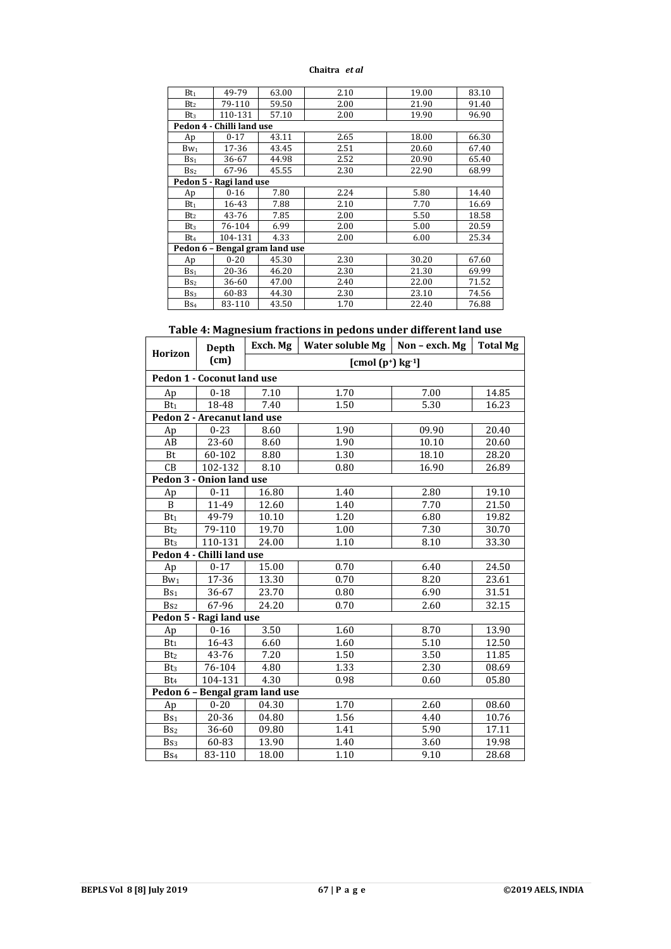| $Bt_1$                    | 49-79                          | 63.00 | 2.10 | 19.00 | 83.10 |  |  |  |  |  |  |
|---------------------------|--------------------------------|-------|------|-------|-------|--|--|--|--|--|--|
| Bt <sub>2</sub>           | 79-110                         | 59.50 | 2.00 | 21.90 | 91.40 |  |  |  |  |  |  |
| Bt <sub>3</sub>           | 110-131                        | 57.10 | 2.00 | 19.90 | 96.90 |  |  |  |  |  |  |
| Pedon 4 - Chilli land use |                                |       |      |       |       |  |  |  |  |  |  |
| Ap                        | $0 - 17$                       | 43.11 | 2.65 | 18.00 | 66.30 |  |  |  |  |  |  |
| $Bw_1$                    | 17-36                          | 43.45 | 2.51 | 20.60 | 67.40 |  |  |  |  |  |  |
| Bs <sub>1</sub>           | 36-67                          | 44.98 | 2.52 | 20.90 | 65.40 |  |  |  |  |  |  |
| Bs <sub>2</sub>           | 67-96                          | 45.55 | 2.30 | 22.90 | 68.99 |  |  |  |  |  |  |
| Pedon 5 - Ragi land use   |                                |       |      |       |       |  |  |  |  |  |  |
| Ap                        | $0 - 16$                       | 7.80  | 2.24 | 5.80  | 14.40 |  |  |  |  |  |  |
| $Bt_1$                    | 16-43                          | 7.88  | 2.10 | 7.70  | 16.69 |  |  |  |  |  |  |
| Bt <sub>2</sub>           | 43-76                          | 7.85  | 2.00 | 5.50  | 18.58 |  |  |  |  |  |  |
| Bt <sub>3</sub>           | 76-104                         | 6.99  | 2.00 | 5.00  | 20.59 |  |  |  |  |  |  |
| Bt <sub>4</sub>           | 104-131                        | 4.33  | 2.00 | 6.00  | 25.34 |  |  |  |  |  |  |
|                           | Pedon 6 - Bengal gram land use |       |      |       |       |  |  |  |  |  |  |
| Ap                        | $0 - 20$                       | 45.30 | 2.30 | 30.20 | 67.60 |  |  |  |  |  |  |
| Bs <sub>1</sub>           | 20-36                          | 46.20 | 2.30 | 21.30 | 69.99 |  |  |  |  |  |  |
| Bs <sub>2</sub>           | 36-60                          | 47.00 | 2.40 | 22.00 | 71.52 |  |  |  |  |  |  |
| Bs <sub>3</sub>           | 60-83                          | 44.30 | 2.30 | 23.10 | 74.56 |  |  |  |  |  |  |
| Bs <sub>4</sub>           | 83-110                         | 43.50 | 1.70 | 22.40 | 76.88 |  |  |  |  |  |  |

# **Table 4: Magnesium fractions in pedons under different land use**

|                          | Depth                       | Exch. Mg                       | Water soluble Mg $\vert$ Non – exch. Mg |       | <b>Total Mg</b> |  |  |  |  |  |  |
|--------------------------|-----------------------------|--------------------------------|-----------------------------------------|-------|-----------------|--|--|--|--|--|--|
| Horizon                  | (cm)                        |                                | $[{\rm cmol (p+)} \text{ kg}-1]$        |       |                 |  |  |  |  |  |  |
|                          | Pedon 1 - Coconut land use  |                                |                                         |       |                 |  |  |  |  |  |  |
| Ap                       | $0 - 18$                    | 7.10                           | 1.70                                    | 7.00  | 14.85           |  |  |  |  |  |  |
| Bt <sub>1</sub>          | 18-48                       | 7.40                           | 1.50                                    | 5.30  | 16.23           |  |  |  |  |  |  |
|                          | Pedon 2 - Arecanut land use |                                |                                         |       |                 |  |  |  |  |  |  |
| Ap                       | $0 - 23$                    | 8.60                           | 1.90                                    | 09.90 | 20.40           |  |  |  |  |  |  |
| AB                       | 23-60                       | 8.60                           | 1.90                                    | 10.10 | 20.60           |  |  |  |  |  |  |
| Bt                       | 60-102                      | 8.80                           | 1.30                                    | 18.10 | 28.20           |  |  |  |  |  |  |
| CB                       | 102-132                     | 8.10                           | 0.80                                    | 16.90 | 26.89           |  |  |  |  |  |  |
| Pedon 3 - Onion land use |                             |                                |                                         |       |                 |  |  |  |  |  |  |
| Ap                       | $0 - 11$                    | 16.80                          | 1.40                                    | 2.80  | 19.10           |  |  |  |  |  |  |
| $\overline{B}$           | $\frac{1}{11-49}$           | 12.60                          | 1.40                                    | 7.70  | 21.50           |  |  |  |  |  |  |
| Bt <sub>1</sub>          | 49-79                       | 10.10                          | 1.20                                    | 6.80  | 19.82           |  |  |  |  |  |  |
| Bt <sub>2</sub>          | 79-110                      | 19.70                          | 1.00                                    | 7.30  | 30.70           |  |  |  |  |  |  |
| Bt <sub>3</sub>          | 110-131                     | 24.00                          | 1.10                                    | 8.10  | 33.30           |  |  |  |  |  |  |
|                          | Pedon 4 - Chilli land use   |                                |                                         |       |                 |  |  |  |  |  |  |
| Ap                       | $0 - 17$                    | 15.00                          | 0.70                                    | 6.40  | 24.50           |  |  |  |  |  |  |
| $Bw_1$                   | 17-36                       | 13.30                          | 0.70                                    | 8.20  | 23.61           |  |  |  |  |  |  |
| Bs <sub>1</sub>          | 36-67                       | 23.70                          | 0.80                                    | 6.90  | 31.51           |  |  |  |  |  |  |
| Bs <sub>2</sub>          | 67-96                       | 24.20                          | 0.70                                    | 2.60  | 32.15           |  |  |  |  |  |  |
|                          | Pedon 5 - Ragi land use     |                                |                                         |       |                 |  |  |  |  |  |  |
| Ap                       | $0 - 16$                    | 3.50                           | 1.60                                    | 8.70  | 13.90           |  |  |  |  |  |  |
| Bt <sub>1</sub>          | 16-43                       | 6.60                           | 1.60                                    | 5.10  | 12.50           |  |  |  |  |  |  |
| Bt <sub>2</sub>          | 43-76                       | 7.20                           | 1.50                                    | 3.50  | 11.85           |  |  |  |  |  |  |
| Bt <sub>3</sub>          | 76-104                      | 4.80                           | 1.33                                    | 2.30  | 08.69           |  |  |  |  |  |  |
| Bt <sub>4</sub>          | 104-131                     | 4.30                           | 0.98                                    | 0.60  | 05.80           |  |  |  |  |  |  |
|                          |                             | Pedon 6 - Bengal gram land use |                                         |       |                 |  |  |  |  |  |  |
| Ap                       | $0 - 20$                    | 04.30                          | 1.70                                    | 2.60  | 08.60           |  |  |  |  |  |  |
| Bs <sub>1</sub>          | 20-36                       | 04.80                          | 1.56                                    | 4.40  | 10.76           |  |  |  |  |  |  |
| B <sub>s2</sub>          | 36-60                       | 09.80                          | 1.41                                    | 5.90  | 17.11           |  |  |  |  |  |  |
| Bs <sub>3</sub>          | 60-83                       | 13.90                          | 1.40                                    | 3.60  | 19.98           |  |  |  |  |  |  |
| Bs <sub>4</sub>          | 83-110                      | 18.00                          | 1.10                                    | 9.10  | 28.68           |  |  |  |  |  |  |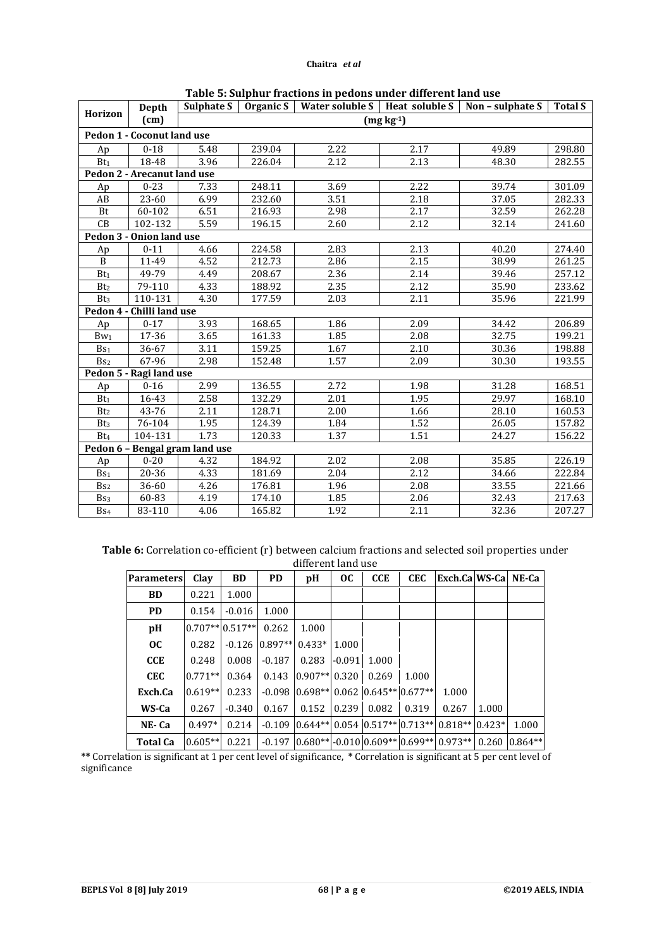|                 | Depth                       |                                |        |      |             | Sulphate S   Organic S   Water soluble S   Heat soluble S   Non - sulphate S   Total S |        |
|-----------------|-----------------------------|--------------------------------|--------|------|-------------|----------------------------------------------------------------------------------------|--------|
| Horizon         | (cm)                        |                                |        |      | $(mg kg-1)$ |                                                                                        |        |
|                 | Pedon 1 - Coconut land use  |                                |        |      |             |                                                                                        |        |
| Ap              | $0 - 18$                    | 5.48                           | 239.04 | 2.22 | 2.17        | 49.89                                                                                  | 298.80 |
| Bt <sub>1</sub> | 18-48                       | 3.96                           | 226.04 | 2.12 | 2.13        | 48.30                                                                                  | 282.55 |
|                 | Pedon 2 - Arecanut land use |                                |        |      |             |                                                                                        |        |
| Ap              | $0 - 23$                    | 7.33                           | 248.11 | 3.69 | 2.22        | 39.74                                                                                  | 301.09 |
| AB              | 23-60                       | 6.99                           | 232.60 | 3.51 | 2.18        | 37.05                                                                                  | 282.33 |
| Bt              | 60-102                      | 6.51                           | 216.93 | 2.98 | 2.17        | 32.59                                                                                  | 262.28 |
| CB              | 102-132                     | 5.59                           | 196.15 | 2.60 | 2.12        | 32.14                                                                                  | 241.60 |
|                 | Pedon 3 - Onion land use    |                                |        |      |             |                                                                                        |        |
| Ap              | $0 - 11$                    | 4.66                           | 224.58 | 2.83 | 2.13        | 40.20                                                                                  | 274.40 |
| B               | 11-49                       | 4.52                           | 212.73 | 2.86 | 2.15        | 38.99                                                                                  | 261.25 |
| Bt <sub>1</sub> | 49-79                       | 4.49                           | 208.67 | 2.36 | 2.14        | 39.46                                                                                  | 257.12 |
| B <sub>t2</sub> | 79-110                      | 4.33                           | 188.92 | 2.35 | 2.12        | 35.90                                                                                  | 233.62 |
| Bt <sub>3</sub> | 110-131                     | 4.30                           | 177.59 | 2.03 | 2.11        | 35.96                                                                                  | 221.99 |
|                 | Pedon 4 - Chilli land use   |                                |        |      |             |                                                                                        |        |
| Ap              | $0 - 17$                    | 3.93                           | 168.65 | 1.86 | 2.09        | 34.42                                                                                  | 206.89 |
| $Bw_1$          | 17-36                       | 3.65                           | 161.33 | 1.85 | 2.08        | 32.75                                                                                  | 199.21 |
| Bs <sub>1</sub> | 36-67                       | 3.11                           | 159.25 | 1.67 | 2.10        | 30.36                                                                                  | 198.88 |
| B <sub>s2</sub> | 67-96                       | 2.98                           | 152.48 | 1.57 | 2.09        | 30.30                                                                                  | 193.55 |
|                 | Pedon 5 - Ragi land use     |                                |        |      |             |                                                                                        |        |
| Ap              | $0 - 16$                    | 2.99                           | 136.55 | 2.72 | 1.98        | 31.28                                                                                  | 168.51 |
| Bt <sub>1</sub> | 16-43                       | 2.58                           | 132.29 | 2.01 | 1.95        | 29.97                                                                                  | 168.10 |
| Bt <sub>2</sub> | 43-76                       | 2.11                           | 128.71 | 2.00 | 1.66        | 28.10                                                                                  | 160.53 |
| Bt <sub>3</sub> | 76-104                      | 1.95                           | 124.39 | 1.84 | 1.52        | 26.05                                                                                  | 157.82 |
| Bt <sub>4</sub> | 104-131                     | 1.73                           | 120.33 | 1.37 | 1.51        | 24.27                                                                                  | 156.22 |
|                 |                             | Pedon 6 - Bengal gram land use |        |      |             |                                                                                        |        |
| Ap              | $0 - 20$                    | 4.32                           | 184.92 | 2.02 | 2.08        | 35.85                                                                                  | 226.19 |
| Bs <sub>1</sub> | 20-36                       | 4.33                           | 181.69 | 2.04 | 2.12        | 34.66                                                                                  | 222.84 |
| Bs <sub>2</sub> | 36-60                       | 4.26                           | 176.81 | 1.96 | 2.08        | 33.55                                                                                  | 221.66 |
| Bs <sub>3</sub> | 60-83                       | 4.19                           | 174.10 | 1.85 | 2.06        | 32.43                                                                                  | 217.63 |
| B <sub>S4</sub> | 83-110                      | 4.06                           | 165.82 | 1.92 | 2.11        | 32.36                                                                                  | 207.27 |

**Table 6:** Correlation co-efficient (r) between calcium fractions and selected soil properties under different land use

| <b>Parameters</b> | Clay                | <b>BD</b> | <b>PD</b>                                      | pH              | <b>OC</b> | <b>CCE</b>                                 | <b>CEC</b> | Exch.Ca WS-Ca  NE-Ca                                              |       |           |
|-------------------|---------------------|-----------|------------------------------------------------|-----------------|-----------|--------------------------------------------|------------|-------------------------------------------------------------------|-------|-----------|
| <b>BD</b>         | 0.221               | 1.000     |                                                |                 |           |                                            |            |                                                                   |       |           |
| <b>PD</b>         | 0.154               | $-0.016$  | 1.000                                          |                 |           |                                            |            |                                                                   |       |           |
| pH                | $0.707**$ $0.517**$ |           | 0.262                                          | 1.000           |           |                                            |            |                                                                   |       |           |
| <b>OC</b>         | 0.282               |           | $-0.126$ $\mid 0.897** \mid 0.433* \mid 1.000$ |                 |           |                                            |            |                                                                   |       |           |
| <b>CCE</b>        | 0.248               | 0.008     | $-0.187$                                       | 0.283           | $-0.091$  | 1.000                                      |            |                                                                   |       |           |
| <b>CEC</b>        | $0.771**$           | 0.364     | 0.143                                          | $0.907**$ 0.320 |           | 0.269                                      | 1.000      |                                                                   |       |           |
| Exch.Ca           | $0.619**$           | 0.233     |                                                |                 |           | $-0.098$ $0.698**$ 0.062 $0.645**$ 0.677** |            | 1.000                                                             |       |           |
| WS-Ca             | 0.267               | $-0.340$  | 0.167                                          | 0.152           | 0.239     | 0.082                                      | 0.319      | 0.267                                                             | 1.000 |           |
| NE-Ca             | $0.497*$            | 0.214     |                                                |                 |           |                                            |            | $-0.109$ $0.644**$ 0.054 $0.517**$ 0.713** 0.818** $0.423*$       |       | 1.000     |
| <b>Total Ca</b>   | $0.605**$ 0.221     |           |                                                |                 |           |                                            |            | $-0.197$ $0.680**$ $-0.010$ $0.609**$ $0.699**$ $0.973**$ $0.260$ |       | $0.864**$ |

**\*\*** Correlation is significant at 1 per cent level of significance, **\*** Correlation is significant at 5 per cent level of significance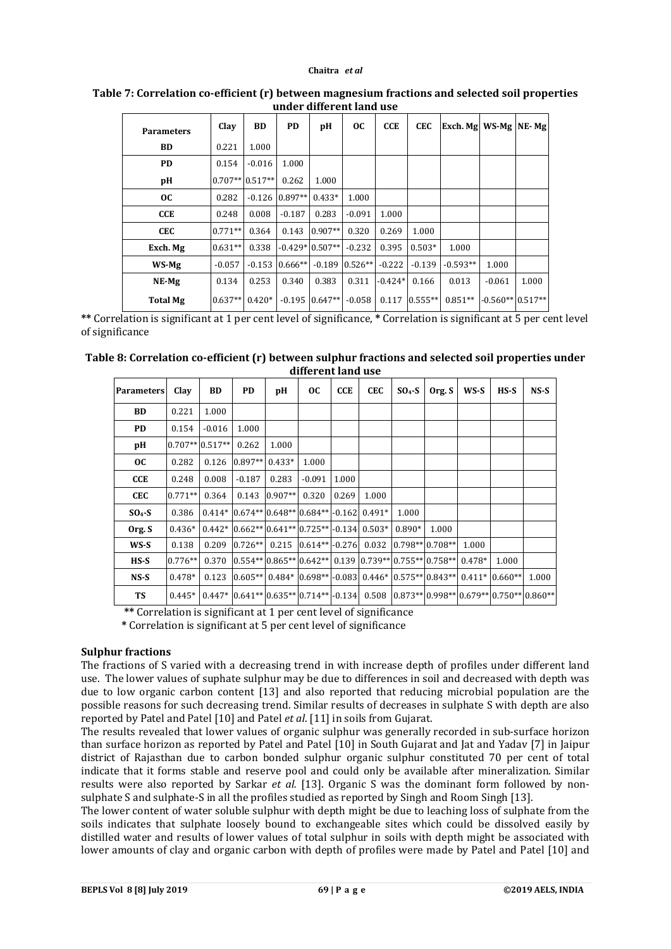| <b>Parameters</b> | Clay              | <b>BD</b> | <b>PD</b> | pН                | OC.       | <b>CCE</b> | <b>CEC</b> | Exch. Mg   WS-Mg   NE-Mg |                    |       |
|-------------------|-------------------|-----------|-----------|-------------------|-----------|------------|------------|--------------------------|--------------------|-------|
| <b>BD</b>         | 0.221             | 1.000     |           |                   |           |            |            |                          |                    |       |
| <b>PD</b>         | 0.154             | $-0.016$  | 1.000     |                   |           |            |            |                          |                    |       |
| pH                | $0.707**$ 0.517** |           | 0.262     | 1.000             |           |            |            |                          |                    |       |
| <b>OC</b>         | 0.282             | $-0.126$  | $0.897**$ | $0.433*$          | 1.000     |            |            |                          |                    |       |
| <b>CCE</b>        | 0.248             | 0.008     | $-0.187$  | 0.283             | $-0.091$  | 1.000      |            |                          |                    |       |
| <b>CEC</b>        | $0.771**$         | 0.364     | 0.143     | $0.907**$         | 0.320     | 0.269      | 1.000      |                          |                    |       |
| Exch. Mg          | $0.631**$         | 0.338     |           | $-0.429*10.507**$ | $-0.232$  | 0.395      | $0.503*$   | 1.000                    |                    |       |
| WS-Mg             | $-0.057$          | $-0.153$  | $0.666**$ | $-0.189$          | $0.526**$ | $-0.222$   | $-0.139$   | $-0.593**$               | 1.000              |       |
| NE-Mg             | 0.134             | 0.253     | 0.340     | 0.383             | 0.311     | $-0.424*$  | 0.166      | 0.013                    | $-0.061$           | 1.000 |
| <b>Total Mg</b>   | $0.637**$         | $0.420*$  |           | $-0.195$ 0.647**  | $-0.058$  | 0.117      | $0.555**$  | $0.851**$                | $-0.560**$ 0.517** |       |

## **Table 7: Correlation co-efficient (r) between magnesium fractions and selected soil properties under different land use**

**\*\*** Correlation is significant at 1 per cent level of significance, **\*** Correlation is significant at 5 per cent level of significance

| Table 8: Correlation co-efficient (r) between sulphur fractions and selected soil properties under |  |
|----------------------------------------------------------------------------------------------------|--|
| different land use                                                                                 |  |

| <b>Parameters</b> | Clay      | BD                | PD.       | рH        | <b>OC</b>                                      | CCE   | <b>CEC</b> | $SO4-S$                                                   | Org. S | WS-S     | HS-S                                                                                   | NS-S  |
|-------------------|-----------|-------------------|-----------|-----------|------------------------------------------------|-------|------------|-----------------------------------------------------------|--------|----------|----------------------------------------------------------------------------------------|-------|
| <b>BD</b>         | 0.221     | 1.000             |           |           |                                                |       |            |                                                           |        |          |                                                                                        |       |
| <b>PD</b>         | 0.154     | $-0.016$          | 1.000     |           |                                                |       |            |                                                           |        |          |                                                                                        |       |
| рH                |           | $0.707**$ 0.517** | 0.262     | 1.000     |                                                |       |            |                                                           |        |          |                                                                                        |       |
| OC.               | 0.282     | 0.126             | $0.897**$ | $0.433*$  | 1.000                                          |       |            |                                                           |        |          |                                                                                        |       |
| CCE               | 0.248     | 0.008             | $-0.187$  | 0.283     | $-0.091$                                       | 1.000 |            |                                                           |        |          |                                                                                        |       |
| <b>CEC</b>        | $0.771**$ | 0.364             | 0.143     | $0.907**$ | 0.320                                          | 0.269 | 1.000      |                                                           |        |          |                                                                                        |       |
| $SO4-S$           | 0.386     |                   |           |           | $0.414*10.674**0.648**10.684**1-0.16210.491*$  |       |            | 1.000                                                     |        |          |                                                                                        |       |
| Org. S            | $0.436*$  |                   |           |           | $0.442*10.662**10.641**10.725**1-0.13410.503*$ |       |            | $0.890*$                                                  | 1.000  |          |                                                                                        |       |
| WS-S              | 0.138     | 0.209             |           |           | $ 0.726** $ 0.215 $ 0.614** $ -0.276 0.032     |       |            | $ 0.798** 0.708** $                                       |        | 1.000    |                                                                                        |       |
| $HS-S$            | $0.776**$ | 0.370             |           |           |                                                |       |            | $ 0.554** 0.865** 0.642** 0.139 0.739** 0.755** 0.758** $ |        | $0.478*$ | 1.000                                                                                  |       |
| $NS-S$            | $0.478*$  | 0.123             |           |           |                                                |       |            |                                                           |        |          | $(0.605**0.484*10.698**10.08310.446*10.575**10.843**10.411*10.660**$                   | 1.000 |
| TS                | $0.445*$  |                   |           |           |                                                |       |            |                                                           |        |          | $0.447*  0.641** 0.635** 0.714** -0.134 0.508 0.873** 0.998** 0.679** 0.750** 0.860**$ |       |

**\*\*** Correlation is significant at 1 per cent level of significance

**\*** Correlation is significant at 5 per cent level of significance

#### **Sulphur fractions**

The fractions of S varied with a decreasing trend in with increase depth of profiles under different land use. The lower values of suphate sulphur may be due to differences in soil and decreased with depth was due to low organic carbon content [13] and also reported that reducing microbial population are the possible reasons for such decreasing trend. Similar results of decreases in sulphate S with depth are also reported by Patel and Patel [10] and Patel *et al*. [11] in soils from Gujarat.

The results revealed that lower values of organic sulphur was generally recorded in sub-surface horizon than surface horizon as reported by Patel and Patel [10] in South Gujarat and Jat and Yadav [7] in Jaipur district of Rajasthan due to carbon bonded sulphur organic sulphur constituted 70 per cent of total indicate that it forms stable and reserve pool and could only be available after mineralization. Similar results were also reported by Sarkar *et al.* [13]. Organic S was the dominant form followed by nonsulphate S and sulphate-S in all the profiles studied as reported by Singh and Room Singh [13].

The lower content of water soluble sulphur with depth might be due to leaching loss of sulphate from the soils indicates that sulphate loosely bound to exchangeable sites which could be dissolved easily by distilled water and results of lower values of total sulphur in soils with depth might be associated with lower amounts of clay and organic carbon with depth of profiles were made by Patel and Patel [10] and